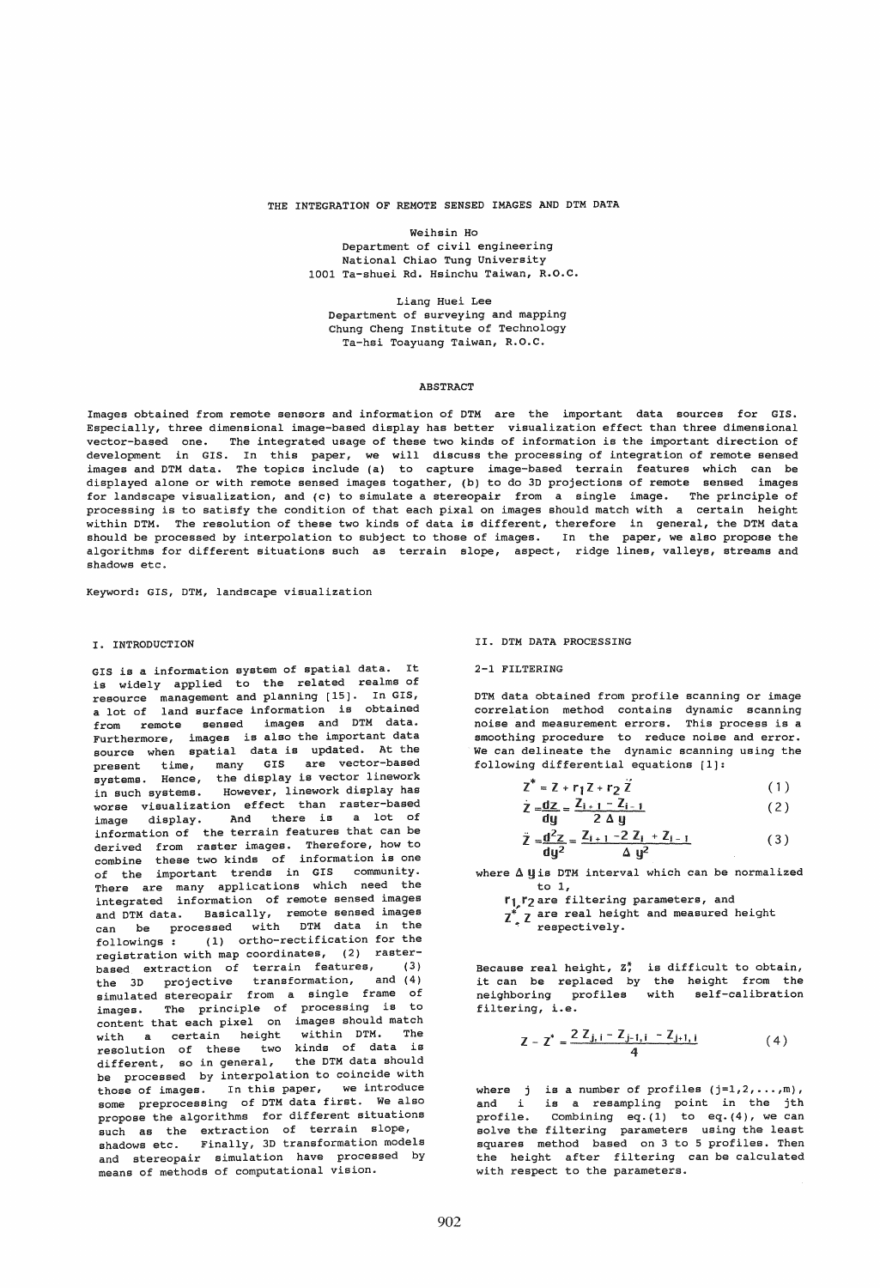#### THE INTEGRATION OF REMOTE SENSED IMAGES AND DTM DATA

Weihsin Ho

Department of civil engineering National Chiao Tung University 1001 Ta-shuei Rd. Hsinchu Taiwan, R.O.C.

Liang Huei Lee Department of surveying and mapping Chung Cheng Institute of Technology Ta-hsi Toayuang Taiwan, R.O.C.

#### **ABSTRACT**

Images obtained from remote sensors and information of DTH are the important data sources for GIS. Especially, three dimensional image-based display has better visualization effect than three dimensional vector-based one. The integrated usage of these two kinds of information is the important direction of development in GIS. In this paper, we will discuss the processing of integration of remote sensed images and DTH data. The topics include (a) to capture image-based terrain features which can be displayed alone or with remote sensed images togather, (b) to do 3D projections of remote sensed images for landscape visualization, and (c) to simulate a stereopair from a single image. The principle of processing is to satisfy the condition of that each pixal on images should match with a certain height within DTM. The resolution of these two kinds of data is different, therefore in general, the DTM data should be processed by interpolation to subject to those of images. In the paper, we also propose the algorithms for different situations such as terrain slope, aspect, ridge lines, valleys, streams and shadows etc.

Keyword: GIS, DTH, landscape visualization

## I. INTRODUCTION

GIS is a information system of spatial data. It is widely applied to the related realms of resource management and planning [15]. In GIS, a lot of land surface information is obtained from remote sensed images and DTH data. Furthermore, images is also the important data source when spatial data is updated. At the present time, many GIS are vector-based systems. Hence, the display is vector linework in such systems. However, linework display has worse visualization effect than raster-based image display. And there is a lot of information of the terrain features that can be derived from raster images. Therefore, how to combine these two kinds of information is one of the important trends in GIS community. There are many applications which need the integrated information of remote sensed images and DTH data. Basically, remote sensed images can be processed with DTH data in the followings: (1) ortho-rectification for the registration with map coordinates, (2) rasterbased extraction of terrain features, (3) the 3D projective transformation, and (4) simulated stereopair from a single frame of images. The principle of processing is to content that each pixel on images should match with a certain height within DTM. The resolution of these two kinds of data is different, so in general, the DTH data should be processed by interpolation to coincide with those of images. In this paper, we introduce some preprocessing of DTH data first. We also propose the algorithms for different situations such as the extraction of terrain slope, shadows etc. Finally, 3D transformation models and stereopair simulation have processed by means of methods of computational vision.

#### II. DTH DATA PROCESSING

## 2-1 FILTERING

DTH data obtained from profile scanning or image correlation method contains dynamic scanning noise and measurement errors. This process is a smoothing procedure to reduce noise and error. We can delineate the dynamic scanning using the following differential equations [1]:

$$
Z^* = Z + r_1 Z + r_2 Z \tag{1}
$$

$$
\dot{Z} = \frac{dz}{dy} = \frac{Z_{i+1} - Z_{i-1}}{2 \Delta y}
$$
 (2)

$$
\ddot{Z} = \frac{d^2 Z}{dy^2} = \frac{Z_{i+1} - 2 Z_i + Z_{i-1}}{\Delta y^2}
$$
 (3)

where  $\Delta$  U is DTM interval which can be normalized to 1,

- **f**<sub>1</sub>: *r*<sub>2</sub> are filtering parameters, and  $\overline{z}^*$ ,  $\overline{z}$  are real height and measured height
	- respectively.

Because real height, Z<sup>\*</sup>,<br>it can be replaced by neighboring profiles filtering, i.e. is difficult to obtain, the height from the with self-calibration

$$
Z - Z^* = \frac{2 Z_{j, i} - Z_{j-1, i} - Z_{j+1, i}}{4}
$$
 (4)

where j is a number of profiles  $(j=1, 2, ..., m)$ , and i is a resampling point in the jth profile. Combining  $eq.(1)$  to  $eq.(4)$ , we can solve the filtering parameters using the least squares method based on 3 to 5 profiles. Then the height after filtering can be calculated with respect to the parameters.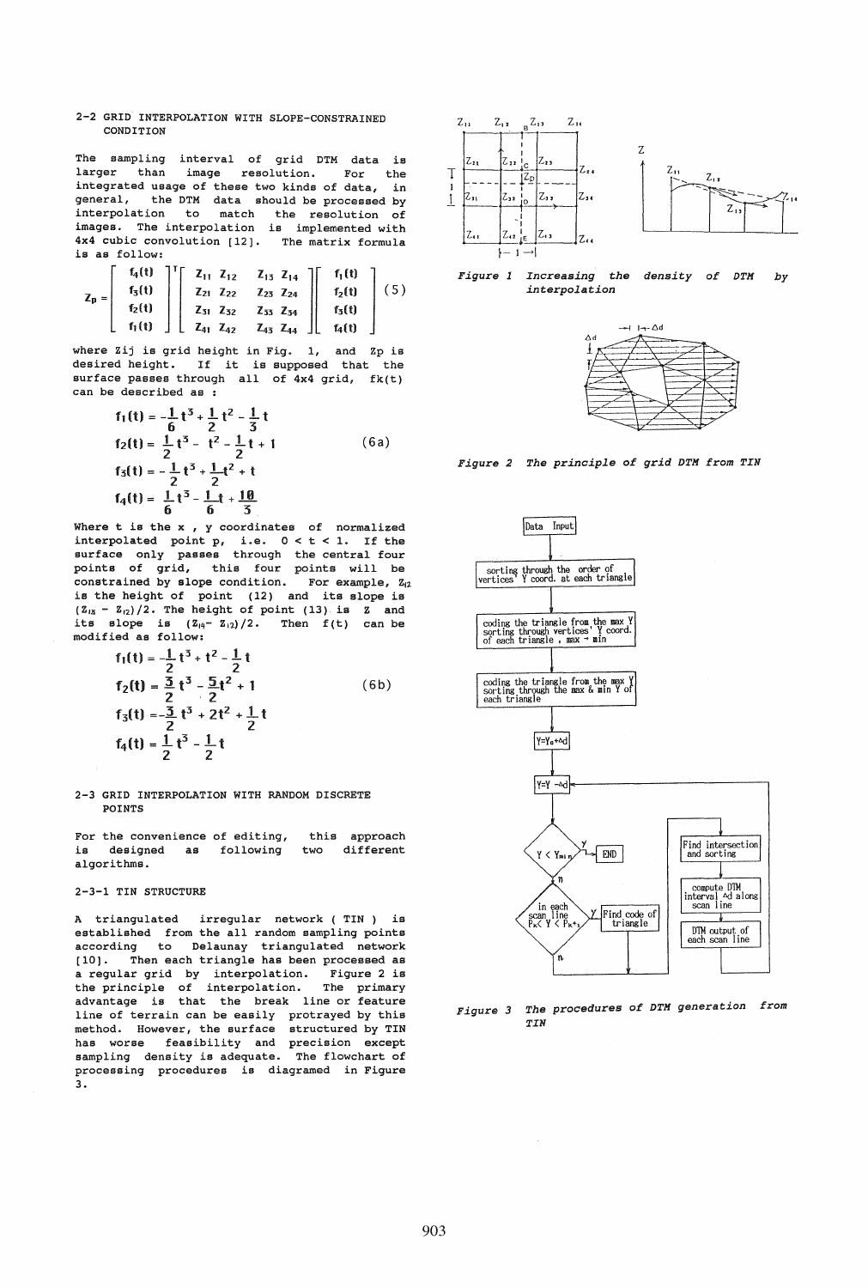### 2-2 GRID INTERPOLATION WITH SLOPE-CONSTRAINED CONDITION

The sampling interval of grid DTM data is<br>larger than image resolution. For the image resolution. For the integrated usage of these two kinds of data, in general, the DTM data should be processed by interpolation to match the resolution of images. The interpolation is implemented with 4x4 cubic convolution [12]. The matrix formula is as follow:

$$
Z_{p} = \left[\begin{array}{c} f_{4}(t) \\ f_{5}(t) \\ f_{2}(t) \\ f_{1}(t) \end{array}\right] \left[\begin{array}{ccc} Z_{11} & Z_{12} & Z_{13} & Z_{14} \\ Z_{21} & Z_{22} & Z_{23} & Z_{24} \\ Z_{31} & Z_{32} & Z_{33} & Z_{34} \\ Z_{41} & Z_{42} & Z_{43} & Z_{44} \end{array}\right] \left[\begin{array}{c} f_{1}(t) \\ f_{2}(t) \\ f_{3}(t) \\ f_{4}(t) \end{array}\right] (5)
$$

where Zij is grid height in Fig. 1, and Zp is desired height. If it is supposed that the surface passes through all of 4x4 grid, fk(t) can be described as :

described as :  
\n
$$
f_1(t) = -\frac{1}{6}t^3 + \frac{1}{2}t^2 - \frac{1}{3}t
$$
\n
$$
f_2(t) = \frac{1}{2}t^3 - t^2 - \frac{1}{2}t + 1
$$
\n
$$
f_3(t) = -\frac{1}{2}t^3 + \frac{1}{2}t^2 + t
$$
\n
$$
f_4(t) = \frac{1}{6}t^3 - \frac{1}{6}t + \frac{10}{3}
$$
\n(6a)

Where t is the x , y coordinates of normalized interpolated point p, i.e.  $0 < t < 1$ . If the surface only passes through the central four points of grid, this four points will be constrained by slope condition. For example,  $z_{i2}$ is the height of point (12) and its slope is  $(Z_{15} - Z_{12}) / 2$ . The height of point (13) is Z and its slope is  $(\mathbb{Z}_{4} - \mathbb{Z}_{12})/2$ . Then  $f(t)$  can be modified as follow:

$$
f_1(t) = \frac{1}{2}t^3 + t^2 - \frac{1}{2}t
$$
  
\n
$$
f_2(t) = \frac{3}{2}t^3 - \frac{5}{2}t^2 + 1
$$
  
\n
$$
f_3(t) = -\frac{3}{2}t^3 + 2t^2 + \frac{1}{2}t
$$
  
\n
$$
f_4(t) = \frac{1}{2}t^3 - \frac{1}{2}t
$$
 (6b)

## 2-3 GRID INTERPOLATION WITH RANDOM DISCRETE POINTS

For the convenience of editing, is designed as following algorithms. this approach two different

### 2-3-1 TIN STRUCTURE

A triangulated irregular network ( TIN) is established from the all random sampling points according to Delaunay triangulated network [10]. Then each triangle has been processed as a regular grid by interpolation. Figure 2 is the principle of interpolation. The primary advantage is that the break line or feature line of terrain can be easily protrayed by this method. However, the surface structured by TIN has worse feasibility and precision except sampling density is adequate. The flowchart of processing procedures is diagramed in Figure **3.** 







*Figure 2 The principle of grid DTH from TIN* 



*Figure* 3 *The procedures of DTH generation from TIN*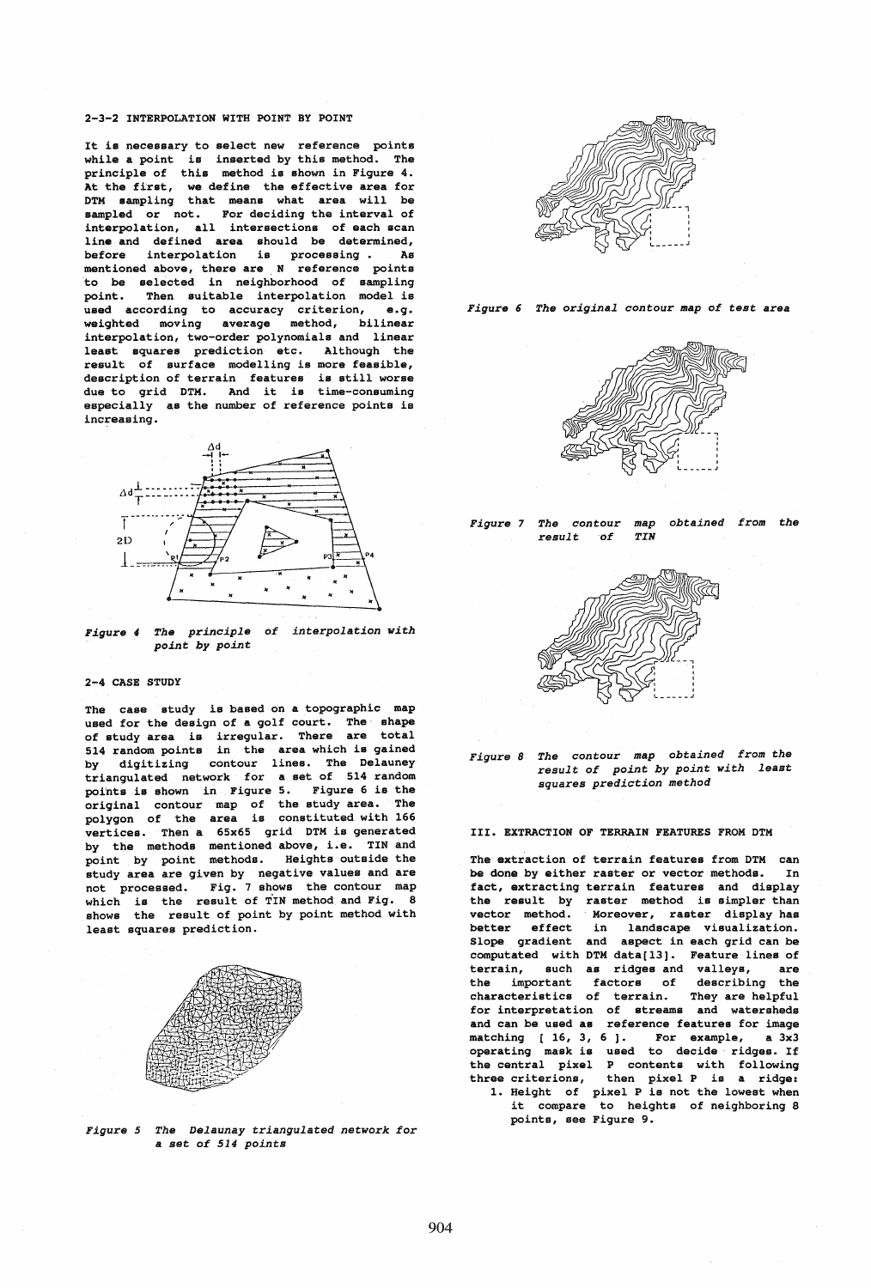## 2-3-2 INTERPOLATION WITH POINT BY POINT

It is necessary to select new reference points while a point is inserted by this method. The principle of this method is shown in Figure 4. At the first, we define the effective area for DTM sampling that means what area will be sampled or not. For deciding the interval of interpolation, all intersections of each scan line and defined area should be determined, before interpolation is processing. As mentioned above, there are N reference points to be selected in neighborhood of sampling point. Then suitable interpolation model is .<br>used according to accuracy criterion, e.g. weighted moving average method, bilinear interpolation, two-order polynomials and linear least squares prediction etc. Although the result of surface modelling is more feasible, description of terrain features is still worse due to grid DTM. And it is time-consuming especially as the number of reference points is increasing.



*Figure* 4 *The principle of interpolation with point by point* 

## 2-4 CASE STUDY

The case study is based on a topographic map used for the design of a golf court. The' shape of study area is irregular. There are total 514 random points in the area which is gained by digitizing contour lines. The Delauney triangulated network for a set of 514 random points is shown in Figure 5. Figure 6 is the original contour map of the study area. The polygon of the area is constituted with 166 vertices. Then a 65x65 grid DTM is generated by the methods mentioned above, i.e. TIN and point by point methods. Heights outside the study area are given by negative values and are not processed. Fig. 7 shows the contour map which is the result of TIN method and Fig. 8 shows the result of point by point method with least squares prediction.



*Figure* 5 *The Delaunay triangulated network for*  a set *of* 514 *points* 



*Figure* 6 *The original contour map of test* area









III. EXTRACTION OF TERRAIN FEATURES FROM DTM

The extraction of terrain features from DTM can be done by either raster or vector methods. In fact, extracting terrain features and display the result by raster method is simpler than vector method. Moreover, raster display has better effect in landscape visualization. Slope gradient and aspect in each grid can be computated with DTM data[13]. Feature lines of terrain, such as ridges and valleys, are<br>the important factors of describing the factors of describing the characteristics of terrain. They are helpful for interpretation of streams and watersheds and can be used as reference features for image and can be used as reference reatures for image<br>matching [16, 3, 6]. For example, a 3x3 operating mask is used to decide ridges. If the central pixel P contents with following<br>three criterions, then pixel P is a ridge: then pixel P is a ridge: 1. Height of pixel P is not the lowest when it compare to heights of neighboring 8 points, see Figure 9.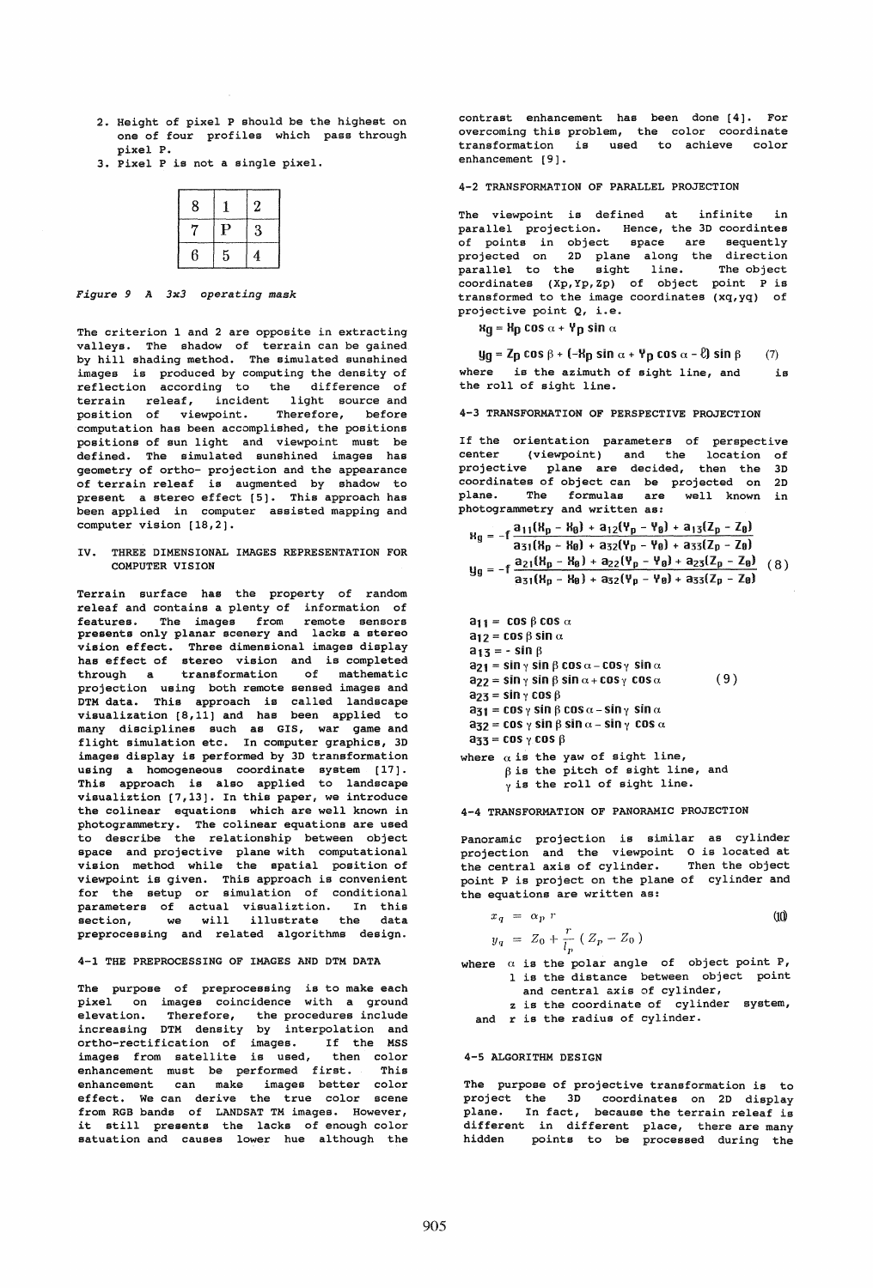- 2. Height of pixel P should be the highest on one of four profiles which pass through pixel P.
- 3. Pixel P is not a single pixel.

| 8 |             | 2 |
|---|-------------|---|
| 7 | $\mathbf P$ | 3 |
| 6 | 5           | 4 |

# *Figure* 9 A *3x3 operating mask*

The criterion 1 and 2 are opposite in extracting valleys. The shadow of terrain can be gained by hill shading method. The simulated sunshined images is produced by computing the density of reflection according to the difference of terrain releaf, incident light source and position of viewpoint. Therefore, before computation has been accomplished, the positions positions of sun light and viewpoint must be defined. The simulated sunshined images has geometry of ortho- projection and the appearance of terrain releaf is augmented by shadow to present a stereo effect [5]. This approach has been applied in computer assisted mapping and computer vision [18,2].

IV. THREE DIMENSIONAL IMAGES REPRESENTATION FOR COMPUTER VISION

Terrain surface has the property of random releaf and contains a plenty of information of features. The images from remote sensors presents only planar scenery and lacks a stereo vision effect. Three dimensional images display has effect of stereo vision and is completed<br>through a transformation of mathematic of mathematic projection using both remote sensed images and DTM data. This approach is called landscape visualization [8,11] and has been applied to many disciplines such as GIS, war game and flight simulation etc. In computer graphics, 3D images display is performed by 3D transformation using a homogeneous coordinate system [17]. This approach is also applied to landscape visualiztion [7,13]. In this paper, we introduce the colinear equations which are well known in photogrammetry. The colinear equations are used to describe the relationship between object space and projective plane with computational vision method while the spatial position of viewpoint is given. This approach is convenient for the setup or simulation of conditional parameters of actual visualiztion. In this section, we will illustrate the data preprocessing and related algorithms design.

# 4-1 THE PREPROCESSING OF IMAGES AND DTM DATA

The purpose of preprocessing is to make each pixel on images coincidence with a ground<br>elevation. Therefore, the procedures include Therefore, the procedures include increasing DTM density by interpolation and ortho-rectification of images. If the MSS images from satellite is used, then color enhancement must be performed first. This enhancement can make images better color effect. We can derive the true color scene from RGB bands of LANDSAT TM images. However, it still presents the lacks of enough color satuation and causes lower hue although the

contrast enhancement has been done [4]. For overcoming this problem, the color coordinate transformation is used to achieve color enhancement [9].

4-2 TRANSFORMATION OF PARALLEL PROJECTION

The viewpoint is defined at infinite in parallel projection. Hence, the 3D coordintes of points in object space are sequently projected on 2D plane along the direction parallel to the sight line. The object .<br>coordinates (Xp, Yp, Zp) of object point P is transformed to the image coordinates (xq,yq) of projective point Q, i.e.

 $Hg = Hg \cos \alpha + Yg \sin \alpha$ 

 $y_{q} = Z_{p} \cos \beta + (-H_{p} \sin \alpha + Y_{p} \cos \alpha - \ell) \sin \beta$  (7) where is the azimuth of sight line, and is the roll of sight line.

4-3 TRANSFORMATION OF PERSPECTIVE PROJECTION

If the orientation parameters of perspective<br>center (viewpoint) and the location of (viewpoint) and the location of<br>ve plane are decided, then the 3D projective plane are decided, then the coordinates of object can be projected on 2D plane. The formulas are well known in photogrammetry and written as:

$$
R_g = -f \frac{a_{11}(R_p - R_\theta) + a_{12}(\gamma_p - \gamma_\theta) + a_{13}(Z_p - Z_\theta)}{a_{31}(R_p - R_\theta) + a_{32}(\gamma_p - \gamma_\theta) + a_{33}(Z_p - Z_\theta)}
$$
  
\n
$$
y_g = -f \frac{a_{21}(R_p - R_\theta) + a_{22}(\gamma_p - \gamma_\theta) + a_{23}(Z_p - Z_\theta)}{a_{31}(R_p - R_\theta) + a_{32}(\gamma_p - \gamma_\theta) + a_{33}(Z_p - Z_\theta)}
$$
 (8)

 $a_{11} = \cos \beta \cos \alpha$  $a_{12} = \cos \beta \sin \alpha$  $a_{13} = -\sin \beta$  $a_{21} = \sin \gamma \sin \beta \cos \alpha - \cos \gamma \sin \alpha$  $a_{22} = \sin \gamma \sin \beta \sin \alpha + \cos \gamma \cos \alpha$  $a_{23}$  = sin  $\gamma$  cos  $\beta$  $a_{31} = \cos \gamma \sin \beta \cos \alpha - \sin \gamma \sin \alpha$  $a_{32} = \cos \gamma \sin \beta \sin \alpha - \sin \gamma \cos \alpha$  $a_{33} = \cos \gamma \cos \beta$ where  $\alpha$  is the yaw of sight line, (9)

 $\beta$  is the pitch of sight line, and  $\gamma$  is the roll of sight line.

4-4 TRANSFORMATION OF PANORAMIC PROJECTION

Panoramic projection is similar as cylinder projection and the viewpoint 0 is located at<br>the central axis of cylinder. Then the object the central axis of cylinder. point P is project on the plane of cylinder and the equations are written as:

$$
x_q = \alpha_p r
$$
  
\n
$$
y_q = Z_0 + \frac{r}{l_p} (Z_p - Z_0)
$$
\n(10)

where  $\alpha$  is the polar angle of object point P, 1 is the distance between object point

and central axis of cylinder, z is the coordinate of cylinder system,

and r is the radius of cylinder.

#### 4-5 ALGORITHM DESIGN

The purpose of projective transformation is to project the 3D coordinates on 2D display plane. In fact, because the terrain releaf is different in different place, there are many<br>hidden points to be processed during the points to be processed during the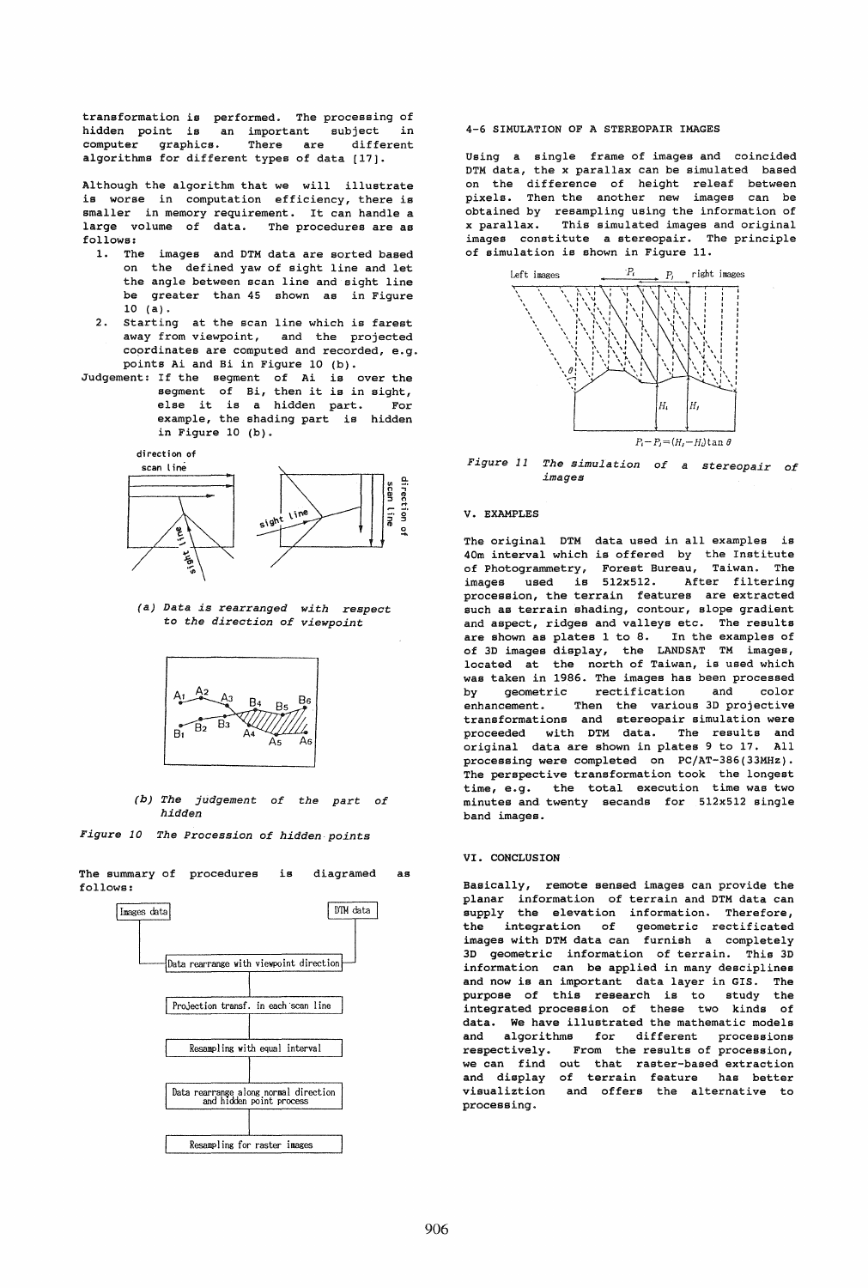transformation is performed. The processing of hidden point is an important computer graphics. There are subject in different algorithms for different types of data [17].

Although the algorithm that we will illustrate is worse in computation efficiency, there is smaller in memory requirement. It can handle a large volume of data. The procedures are as follows:

- 1. The images and DTM data are sorted based on the defined yaw of sight line and let the angle between scan line and sight line be greater than 45 shown as in Figure 10 (a).
- 2. starting at the scan line which is farest away from viewpoint, and the projected coordinates are computed and recorded, e.g. points Ai and Bi in Figure 10 (b).
- Judgement: If the segment of Ai is over the segment of Bi, then it is in sight,<br>else it is a hidden part. For else it is a hidden part. example, the shading part is hidden in Figure 10 (b).

di rect i on of



(a) *Data is rearranged with respect*  to *the direction* of *viewpoint* 



*(b) The judgement of the part of hidden* 

*Figure 10 The Procession of hidden points* 



The summary of procedures follows: is diagramed as

## 4-6 SIMULATION OF A STEREOPAIR IMAGES

Using a single frame of images and coincided DTM data, the x parallax can be simulated based on the difference of height releaf between pixels. Then the another new images can be obtained by resampling using the information of<br>x parallax. This simulated images and original This simulated images and original images constitute a stereopair. The principle of simulation is shown in Figure 11.



*Figure* 11 *The simulation* of a *stereopair* of *images* 

#### V. EXAMPLES

The original DTM data used in all examples is 40m interval which is offered by the Institute of Photogrammetry, Forest Bureau, Taiwan. The images used is 512x512. After filtering procession, the terrain features are extracted such as terrain shading, contour, slope gradient and aspect, ridges and valleys etc. The results are shown as plates 1 to 8. In the examples of of 3D images display, the LANDSAT TM images, located at the north of Taiwan, is used which was taken in 1986. The images has been processed<br>by geometric rectification and color by geometric rectification and enhancement. Then the various 3D projective transformations and stereopair simulation were proceeded with DTM data. The results and original data are shown in plates 9 to 17. All processing were completed on PC/AT-386(33MHz). The perspective transformation took the longest time, e.g. the total execution time was two minutes and twenty secands for 512x512 single band images.

#### VI. CONCLUSION

Basically, remote sensed images can provide the planar information of terrain and DTM data can supply the elevation information. Therefore,<br>the integration of geometric rectificated the integration of geometric rectificated images with DTM data can furnish a completely 3D geometric information of terrain. This 3D information can be applied in many desciplines and now is an important data layer in GIS. The purpose of this research is to study the integrated procession of these two kinds of data. We have illustrated the mathematic models and algorithms for different processions<br>respectively. From the-results-of-procession, From the results of procession, we can find out that raster-based extraction and display of terrain feature has better<br>visualiztion and offers the alternative to and offers the alternative to processing.